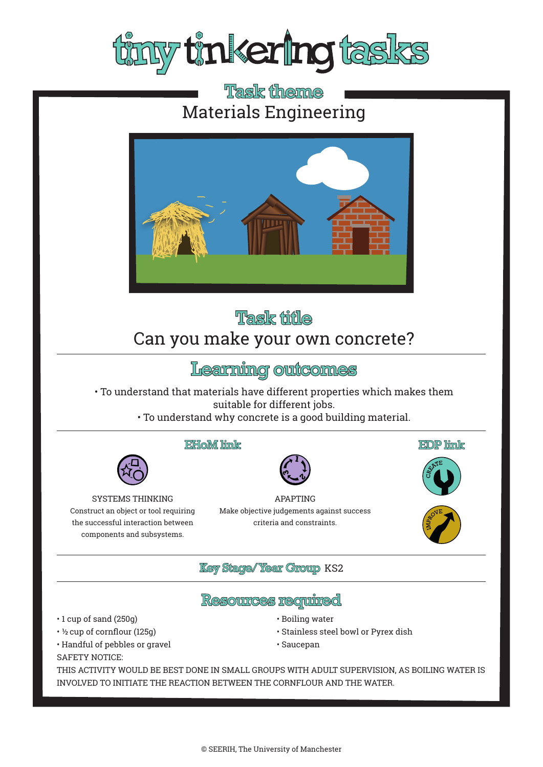

## **Task theme** Materials Engineering



# **Task title**

# Can you make your own concrete?

# Learning outcomes

• To understand that materials have different properties which makes them suitable for different jobs.

• To understand why concrete is a good building material.

#### **EHoM** link



APAPTING Make objective judgements against success criteria and constraints.







### **Key Stage/Year Group KS2**

### <u>Resources required</u>

- 1 cup of sand (250g)
- ½ cup of cornflour (125g)
- Handful of pebbles or gravel

SYSTEMS THINKING Construct an object or tool requiring the successful interaction between components and subsystems.

SAFETY NOTICE:

- Boiling water
- Stainless steel bowl or Pyrex dish
- Saucepan

THIS ACTIVITY WOULD BE BEST DONE IN SMALL GROUPS WITH ADULT SUPERVISION, AS BOILING WATER IS INVOLVED TO INITIATE THE REACTION BETWEEN THE CORNFLOUR AND THE WATER.